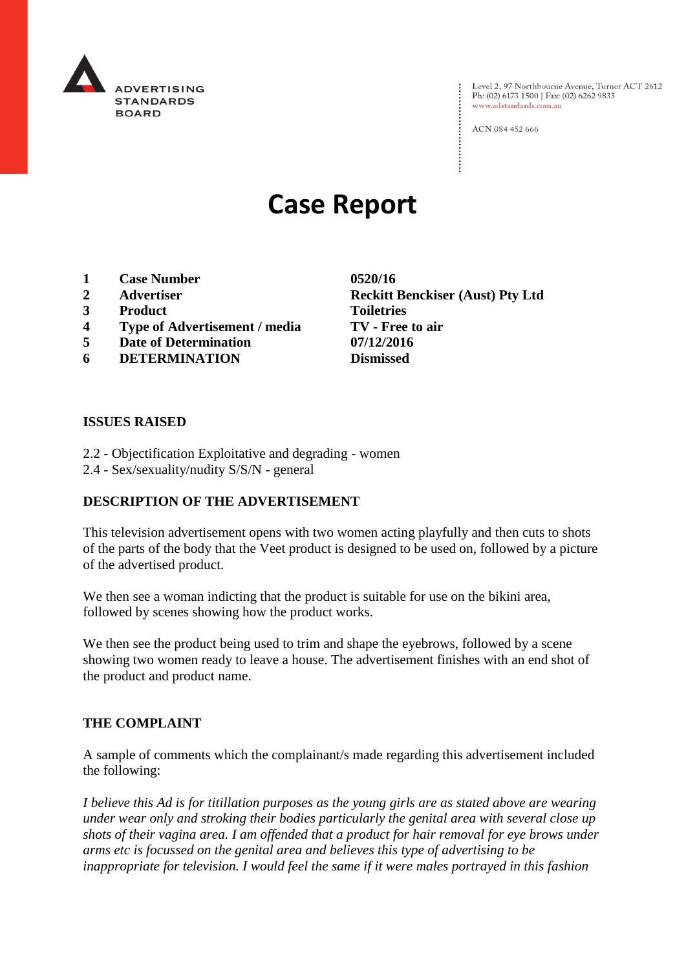

Level 2, 97 Northbourne Avenue, Turner ACT 2612 Ph: (02) 6173 1500 | Fax: (02) 6262 9833 www.adstandards.com.au

ACN 084 452 666

# **Case Report**

- **1 Case Number 0520/16**
- 
- **3 Product Toiletries**
- **4 Type of Advertisement / media TV - Free to air**
- **5 Date of Determination 07/12/2016**
- **6 DETERMINATION Dismissed**

**2 Advertiser Reckitt Benckiser (Aust) Pty Ltd**

### **ISSUES RAISED**

- 2.2 Objectification Exploitative and degrading women
- 2.4 Sex/sexuality/nudity S/S/N general

# **DESCRIPTION OF THE ADVERTISEMENT**

This television advertisement opens with two women acting playfully and then cuts to shots of the parts of the body that the Veet product is designed to be used on, followed by a picture of the advertised product.

We then see a woman indicting that the product is suitable for use on the bikini area, followed by scenes showing how the product works.

We then see the product being used to trim and shape the eyebrows, followed by a scene showing two women ready to leave a house. The advertisement finishes with an end shot of the product and product name.

### **THE COMPLAINT**

A sample of comments which the complainant/s made regarding this advertisement included the following:

*I believe this Ad is for titillation purposes as the young girls are as stated above are wearing under wear only and stroking their bodies particularly the genital area with several close up shots of their vagina area. I am offended that a product for hair removal for eye brows under arms etc is focussed on the genital area and believes this type of advertising to be inappropriate for television. I would feel the same if it were males portrayed in this fashion*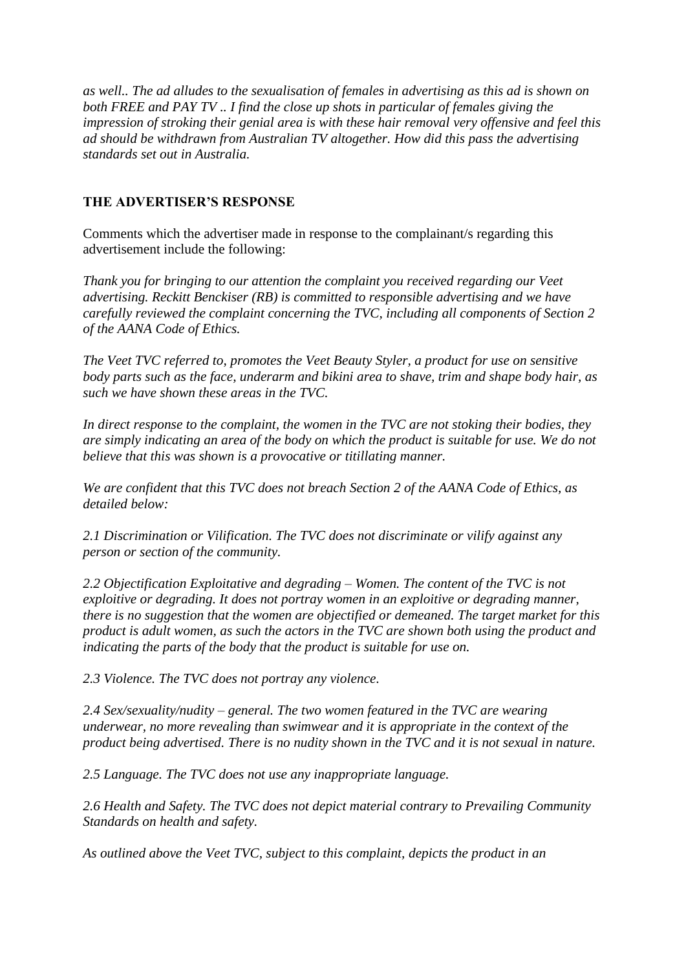*as well.. The ad alludes to the sexualisation of females in advertising as this ad is shown on both FREE and PAY TV .. I find the close up shots in particular of females giving the impression of stroking their genial area is with these hair removal very offensive and feel this ad should be withdrawn from Australian TV altogether. How did this pass the advertising standards set out in Australia.*

# **THE ADVERTISER'S RESPONSE**

Comments which the advertiser made in response to the complainant/s regarding this advertisement include the following:

*Thank you for bringing to our attention the complaint you received regarding our Veet advertising. Reckitt Benckiser (RB) is committed to responsible advertising and we have carefully reviewed the complaint concerning the TVC, including all components of Section 2 of the AANA Code of Ethics.*

*The Veet TVC referred to, promotes the Veet Beauty Styler, a product for use on sensitive body parts such as the face, underarm and bikini area to shave, trim and shape body hair, as such we have shown these areas in the TVC.*

*In direct response to the complaint, the women in the TVC are not stoking their bodies, they are simply indicating an area of the body on which the product is suitable for use. We do not believe that this was shown is a provocative or titillating manner.*

*We are confident that this TVC does not breach Section 2 of the AANA Code of Ethics, as detailed below:*

*2.1 Discrimination or Vilification. The TVC does not discriminate or vilify against any person or section of the community.*

*2.2 Objectification Exploitative and degrading – Women. The content of the TVC is not exploitive or degrading. It does not portray women in an exploitive or degrading manner, there is no suggestion that the women are objectified or demeaned. The target market for this product is adult women, as such the actors in the TVC are shown both using the product and indicating the parts of the body that the product is suitable for use on.*

*2.3 Violence. The TVC does not portray any violence.*

*2.4 Sex/sexuality/nudity – general. The two women featured in the TVC are wearing underwear, no more revealing than swimwear and it is appropriate in the context of the product being advertised. There is no nudity shown in the TVC and it is not sexual in nature.*

*2.5 Language. The TVC does not use any inappropriate language.*

*2.6 Health and Safety. The TVC does not depict material contrary to Prevailing Community Standards on health and safety.*

*As outlined above the Veet TVC, subject to this complaint, depicts the product in an*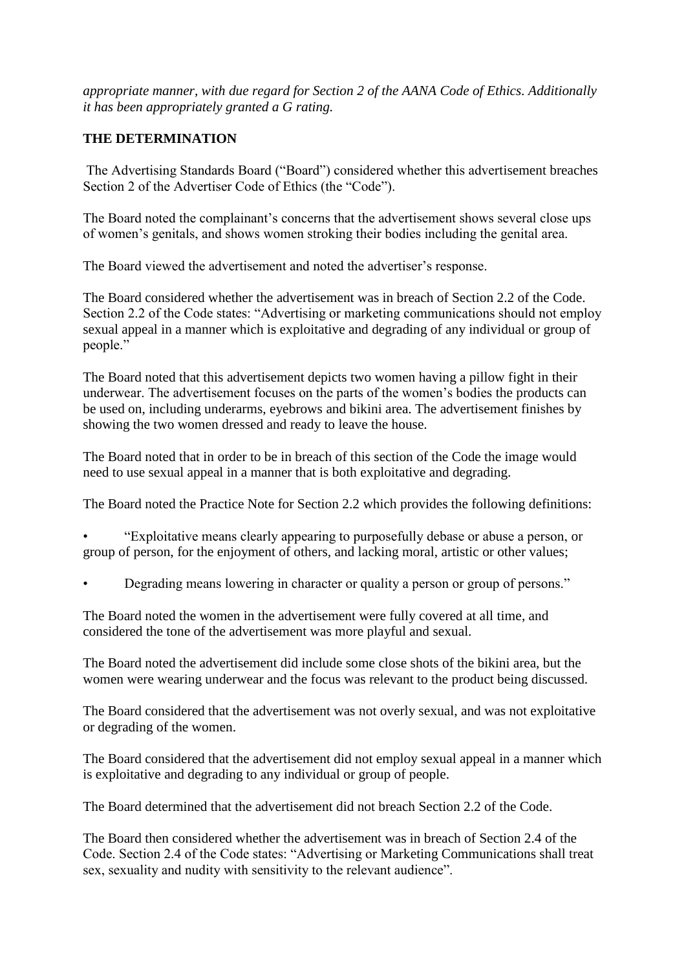*appropriate manner, with due regard for Section 2 of the AANA Code of Ethics. Additionally it has been appropriately granted a G rating.*

# **THE DETERMINATION**

The Advertising Standards Board ("Board") considered whether this advertisement breaches Section 2 of the Advertiser Code of Ethics (the "Code").

The Board noted the complainant's concerns that the advertisement shows several close ups of women's genitals, and shows women stroking their bodies including the genital area.

The Board viewed the advertisement and noted the advertiser's response.

The Board considered whether the advertisement was in breach of Section 2.2 of the Code. Section 2.2 of the Code states: "Advertising or marketing communications should not employ sexual appeal in a manner which is exploitative and degrading of any individual or group of people."

The Board noted that this advertisement depicts two women having a pillow fight in their underwear. The advertisement focuses on the parts of the women's bodies the products can be used on, including underarms, eyebrows and bikini area. The advertisement finishes by showing the two women dressed and ready to leave the house.

The Board noted that in order to be in breach of this section of the Code the image would need to use sexual appeal in a manner that is both exploitative and degrading.

The Board noted the Practice Note for Section 2.2 which provides the following definitions:

• "Exploitative means clearly appearing to purposefully debase or abuse a person, or group of person, for the enjoyment of others, and lacking moral, artistic or other values;

• Degrading means lowering in character or quality a person or group of persons."

The Board noted the women in the advertisement were fully covered at all time, and considered the tone of the advertisement was more playful and sexual.

The Board noted the advertisement did include some close shots of the bikini area, but the women were wearing underwear and the focus was relevant to the product being discussed.

The Board considered that the advertisement was not overly sexual, and was not exploitative or degrading of the women.

The Board considered that the advertisement did not employ sexual appeal in a manner which is exploitative and degrading to any individual or group of people.

The Board determined that the advertisement did not breach Section 2.2 of the Code.

The Board then considered whether the advertisement was in breach of Section 2.4 of the Code. Section 2.4 of the Code states: "Advertising or Marketing Communications shall treat sex, sexuality and nudity with sensitivity to the relevant audience".